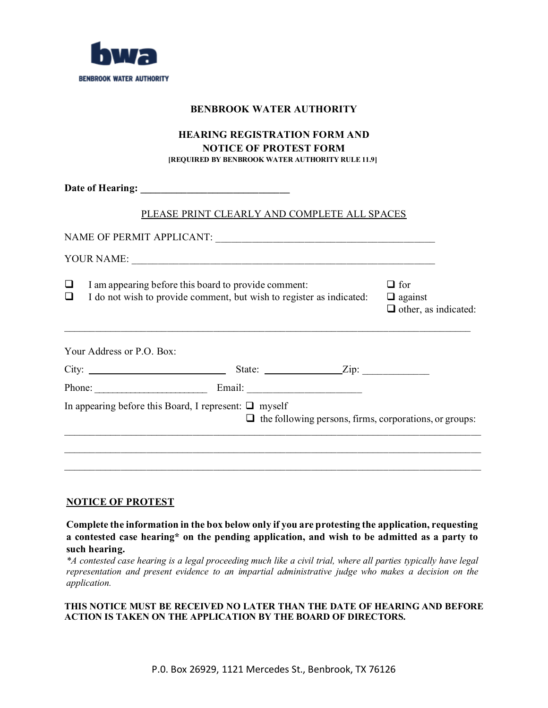

### **BENBROOK WATER AUTHORITY**

## **HEARING REGISTRATION FORM AND NOTICE OF PROTEST FORM [REQUIRED BY BENBROOK WATER AUTHORITY RULE 11.9]**

|                                                                                                                                             | PLEASE PRINT CLEARLY AND COMPLETE ALL SPACES |                    |                                                               |
|---------------------------------------------------------------------------------------------------------------------------------------------|----------------------------------------------|--------------------|---------------------------------------------------------------|
|                                                                                                                                             |                                              |                    |                                                               |
|                                                                                                                                             |                                              |                    |                                                               |
| I am appearing before this board to provide comment:<br>⊔<br>I do not wish to provide comment, but wish to register as indicated:<br>$\Box$ |                                              |                    | $\Box$ for<br>$\Box$ against<br>$\Box$ other, as indicated:   |
| Your Address or P.O. Box:                                                                                                                   |                                              |                    |                                                               |
| City:                                                                                                                                       |                                              | State: <u>Zip:</u> |                                                               |
|                                                                                                                                             |                                              |                    |                                                               |
| In appearing before this Board, I represent: $\Box$ myself                                                                                  |                                              |                    | $\Box$ the following persons, firms, corporations, or groups: |
|                                                                                                                                             |                                              |                    |                                                               |
|                                                                                                                                             |                                              |                    |                                                               |

## **NOTICE OF PROTEST**

**Complete the information in the box below only if you are protesting the application, requesting a contested case hearing\* on the pending application, and wish to be admitted as a party to such hearing.** 

*\*A contested case hearing is a legal proceeding much like a civil trial, where all parties typically have legal representation and present evidence to an impartial administrative judge who makes a decision on the application.*

#### **THIS NOTICE MUST BE RECEIVED NO LATER THAN THE DATE OF HEARING AND BEFORE ACTION IS TAKEN ON THE APPLICATION BY THE BOARD OF DIRECTORS.**